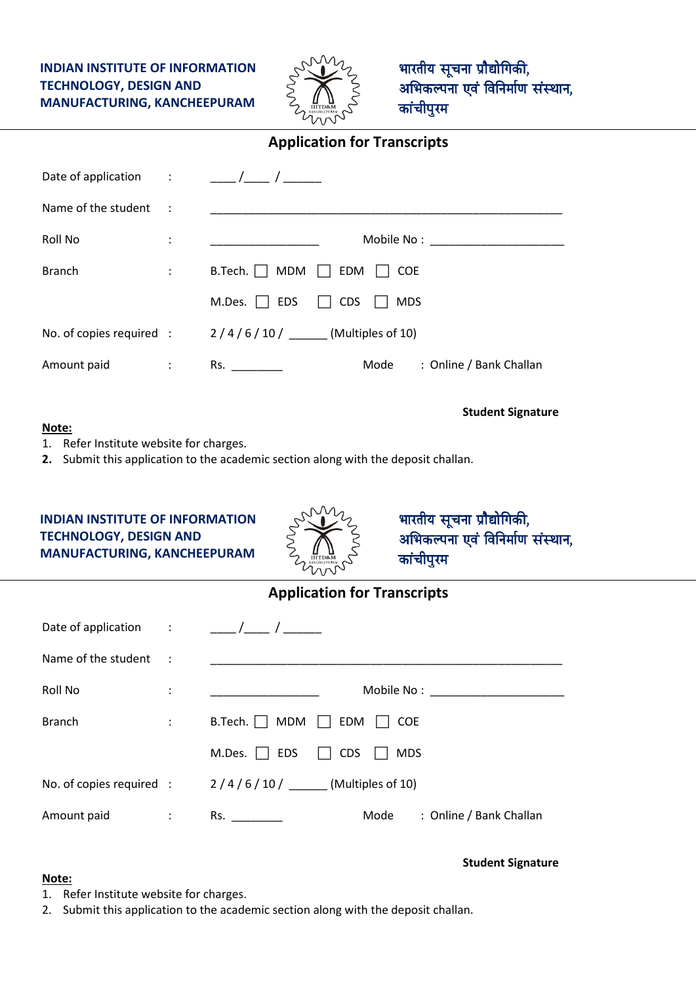## **INDIAN INSTITUTE OF INFORMATION TECHNOLOGY, DESIGN AND MANUFACTURING, KANCHEEPURAM**



भारतीय सूचना प्रौद्योगिकी, अभिकल्पना एवं विनिर्माण संस्थान, कांचीपुरम

**Application for Transcripts** 

| Date of application :    |                | $\sqrt{2}$                                                                                                                                                                                                                                                        |
|--------------------------|----------------|-------------------------------------------------------------------------------------------------------------------------------------------------------------------------------------------------------------------------------------------------------------------|
| Name of the student      | $\sim$ 1       |                                                                                                                                                                                                                                                                   |
| Roll No                  | $\ddot{\cdot}$ | Mobile No :                                                                                                                                                                                                                                                       |
| <b>Branch</b>            | $\ddot{\cdot}$ | EDM<br>$B.Tech.$ MDM $\Box$<br><b>COE</b>                                                                                                                                                                                                                         |
|                          |                | <b>CDS</b><br>M.Des. $\vert$   EDS<br><b>MDS</b>                                                                                                                                                                                                                  |
| No. of copies required : |                | $2/4/6/10/$ (Multiples of 10)                                                                                                                                                                                                                                     |
| Amount paid              | $\ddot{\cdot}$ | : Online / Bank Challan<br>Mode<br>Rs. And the same of the same of the same of the same of the same of the same of the same of the same of the same of the same of the same of the same of the same of the same of the same of the same of the same of the same o |

#### Note:

- 1. Refer Institute website for charges.
- 2. Submit this application to the academic section along with the deposit challan.

# **INDIAN INSTITUTE OF INFORMATION TECHNOLOGY, DESIGN AND** MANUFACTURING, KANCHEEPURAM



भारतीय सूचना प्रौद्योगिकी, अभिकल्पना एवं विनिर्माण संस्थान, कांचीपुरम

**Student Signature** 

**Student Signature** 

|                                                  |   | <b>Application for Transcripts</b>                                                                                                                                                                                                                                             |
|--------------------------------------------------|---|--------------------------------------------------------------------------------------------------------------------------------------------------------------------------------------------------------------------------------------------------------------------------------|
| Date of application $\cdots$ ____/___/           |   |                                                                                                                                                                                                                                                                                |
| Name of the student :                            |   |                                                                                                                                                                                                                                                                                |
| Roll No                                          | ÷ | Mobile No: The South of the South State of the South State of the South State of the South State of the South State of the South State of the South State of the South State of the South State of the South State of the Sout<br>the control of the control of the control of |
| <b>Branch</b>                                    |   | $\vdots$ B.Tech. $\Box$ MDM $\Box$ EDM $\Box$<br><b>COE</b>                                                                                                                                                                                                                    |
|                                                  |   | $\Box$ CDS<br>M.Des. $\Box$ EDS<br><b>MDS</b>                                                                                                                                                                                                                                  |
|                                                  |   | No. of copies required : $2/4/6/10/$ (Multiples of 10)                                                                                                                                                                                                                         |
| Amount paid<br><b>Contract Contract Contract</b> |   | Mode : Online / Bank Challan<br>Rs. $\qquad \qquad$                                                                                                                                                                                                                            |

#### Note:

- 1. Refer Institute website for charges.
- 2. Submit this application to the academic section along with the deposit challan.